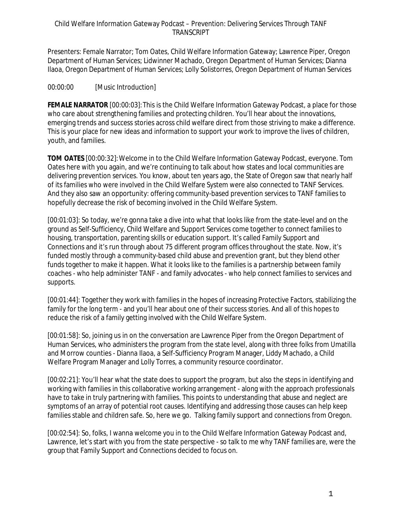Presenters: Female Narrator; Tom Oates, Child Welfare Information Gateway; Lawrence Piper, Oregon Department of Human Services; Lidwinner Machado, Oregon Department of Human Services; Dianna Ilaoa, Oregon Department of Human Services; Lolly Solistorres, Oregon Department of Human Services

# 00:00:00 [Music Introduction]

**FEMALE NARRATOR** [00:00:03]:This is the Child Welfare Information Gateway Podcast, a place for those who care about strengthening families and protecting children. You'll hear about the innovations, emerging trends and success stories across child welfare direct from those striving to make a difference. This is your place for new ideas and information to support your work to improve the lives of children, youth, and families.

**TOM OATES** [00:00:32]:Welcome in to the Child Welfare Information Gateway Podcast, everyone. Tom Oates here with you again, and we're continuing to talk about how states and local communities are delivering prevention services. You know, about ten years ago, the State of Oregon saw that nearly half of its families who were involved in the Child Welfare System were also connected to TANF Services. And they also saw an opportunity: offering community-based prevention services to TANF families to hopefully decrease the risk of becoming involved in the Child Welfare System.

[00:01:03]: So today, we're gonna take a dive into what that looks like from the state-level and on the ground as Self-Sufficiency, Child Welfare and Support Services come together to connect families to housing, transportation, parenting skills or education support. It's called Family Support and Connections and it's run through about 75 different program offices throughout the state. Now, it's funded mostly through a community-based child abuse and prevention grant, but they blend other funds together to make it happen. What it looks like to the families is a partnership between family coaches - who help administer TANF - and family advocates - who help connect families to services and supports.

[00:01:44]: Together they work with families in the hopes of increasing Protective Factors, stabilizing the family for the long term - and you'll hear about one of their success stories. And all of this hopes to reduce the risk of a family getting involved with the Child Welfare System.

[00:01:58]: So, joining us in on the conversation are Lawrence Piper from the Oregon Department of Human Services, who administers the program from the state level, along with three folks from Umatilla and Morrow counties - Dianna Ilaoa, a Self-Sufficiency Program Manager, Liddy Machado, a Child Welfare Program Manager and Lolly Torres, a community resource coordinator.

[00:02:21]: You'll hear what the state does to support the program, but also the steps in identifying and working with families in this collaborative working arrangement - along with the approach professionals have to take in truly partnering with families. This points to understanding that abuse and neglect are symptoms of an array of potential root causes. Identifying and addressing those causes can help keep families stable and children safe. So, here we go. Talking family support and connections from Oregon.

[00:02:54]: So, folks, I wanna welcome you in to the Child Welfare Information Gateway Podcast and, Lawrence, let's start with you from the state perspective - so talk to me why TANF families are, were the group that Family Support and Connections decided to focus on.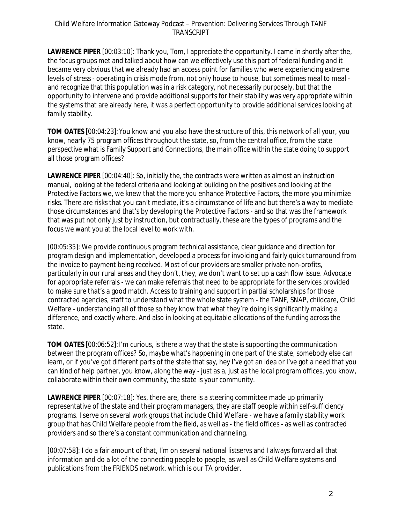**LAWRENCE PIPER** [00:03:10]: Thank you, Tom, I appreciate the opportunity. I came in shortly after the, the focus groups met and talked about how can we effectively use this part of federal funding and it became very obvious that we already had an access point for families who were experiencing extreme levels of stress - operating in crisis mode from, not only house to house, but sometimes meal to meal and recognize that this population was in a risk category, not necessarily purposely, but that the opportunity to intervene and provide additional supports for their stability was very appropriate within the systems that are already here, it was a perfect opportunity to provide additional services looking at family stability.

**TOM OATES** [00:04:23]:You know and you also have the structure of this, this network of all your, you know, nearly 75 program offices throughout the state, so, from the central office, from the state perspective what is Family Support and Connections, the main office within the state doing to support all those program offices?

**LAWRENCE PIPER** [00:04:40]: So, initially the, the contracts were written as almost an instruction manual, looking at the federal criteria and looking at building on the positives and looking at the Protective Factors we, we knew that the more you enhance Protective Factors, the more you minimize risks. There are risks that you can't mediate, it's a circumstance of life and but there's a way to mediate those circumstances and that's by developing the Protective Factors - and so that was the framework that was put not only just by instruction, but contractually, these are the types of programs and the focus we want you at the local level to work with.

[00:05:35]: We provide continuous program technical assistance, clear guidance and direction for program design and implementation, developed a process for invoicing and fairly quick turnaround from the invoice to payment being received. Most of our providers are smaller private non-profits, particularly in our rural areas and they don't, they, we don't want to set up a cash flow issue. Advocate for appropriate referrals - we can make referrals that need to be appropriate for the services provided to make sure that's a good match. Access to training and support in partial scholarships for those contracted agencies, staff to understand what the whole state system - the TANF, SNAP, childcare, Child Welfare - understanding all of those so they know that what they're doing is significantly making a difference, and exactly where. And also in looking at equitable allocations of the funding across the state.

**TOM OATES** [00:06:52]:I'm curious, is there a way that the state is supporting the communication between the program offices? So, maybe what's happening in one part of the state, somebody else can learn, or if you've got different parts of the state that say, hey I've got an idea or I've got a need that you can kind of help partner, you know, along the way - just as a, just as the local program offices, you know, collaborate within their own community, the state is your community.

**LAWRENCE PIPER** [00:07:18]: Yes, there are, there is a steering committee made up primarily representative of the state and their program managers, they are staff people within self-sufficiency programs. I serve on several work groups that include Child Welfare - we have a family stability work group that has Child Welfare people from the field, as well as - the field offices - as well as contracted providers and so there's a constant communication and channeling.

[00:07:58]: I do a fair amount of that, I'm on several national listservs and I always forward all that information and do a lot of the connecting people to people, as well as Child Welfare systems and publications from the FRIENDS network, which is our TA provider.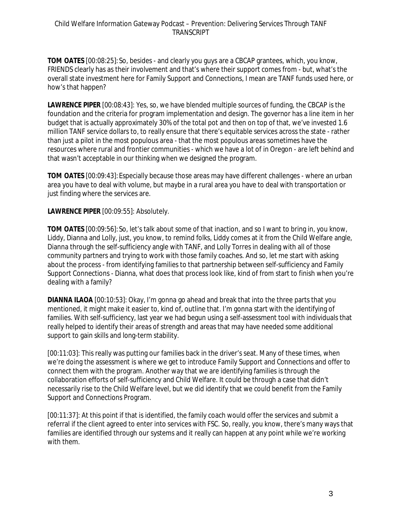**TOM OATES** [00:08:25]:So, besides - and clearly you guys are a CBCAP grantees, which, you know, FRIENDS clearly has as their involvement and that's where their support comes from - but, what's the overall state investment here for Family Support and Connections, I mean are TANF funds used here, or how's that happen?

**LAWRENCE PIPER** [00:08:43]: Yes, so, we have blended multiple sources of funding, the CBCAP is the foundation and the criteria for program implementation and design. The governor has a line item in her budget that is actually approximately 30% of the total pot and then on top of that, we've invested 1.6 million TANF service dollars to, to really ensure that there's equitable services across the state - rather than just a pilot in the most populous area - that the most populous areas sometimes have the resources where rural and frontier communities - which we have a lot of in Oregon - are left behind and that wasn't acceptable in our thinking when we designed the program.

**TOM OATES** [00:09:43]:Especially because those areas may have different challenges - where an urban area you have to deal with volume, but maybe in a rural area you have to deal with transportation or just finding where the services are.

# **LAWRENCE PIPER** [00:09:55]: Absolutely.

**TOM OATES** [00:09:56]:So, let's talk about some of that inaction, and so I want to bring in, you know, Liddy, Dianna and Lolly, just, you know, to remind folks, Liddy comes at it from the Child Welfare angle, Dianna through the self-sufficiency angle with TANF, and Lolly Torres in dealing with all of those community partners and trying to work with those family coaches. And so, let me start with asking about the process - from identifying families to that partnership between self-sufficiency and Family Support Connections - Dianna, what does that process look like, kind of from start to finish when you're dealing with a family?

**DIANNA ILAOA** [00:10:53]: Okay, I'm gonna go ahead and break that into the three parts that you mentioned, it might make it easier to, kind of, outline that. I'm gonna start with the identifying of families. With self-sufficiency, last year we had begun using a self-assessment tool with individuals that really helped to identify their areas of strength and areas that may have needed some additional support to gain skills and long-term stability.

[00:11:03]: This really was putting our families back in the driver's seat. Many of these times, when we're doing the assessment is where we get to introduce Family Support and Connections and offer to connect them with the program. Another way that we are identifying families is through the collaboration efforts of self-sufficiency and Child Welfare. It could be through a case that didn't necessarily rise to the Child Welfare level, but we did identify that we could benefit from the Family Support and Connections Program.

[00:11:37]: At this point if that is identified, the family coach would offer the services and submit a referral if the client agreed to enter into services with FSC. So, really, you know, there's many ways that families are identified through our systems and it really can happen at any point while we're working with them.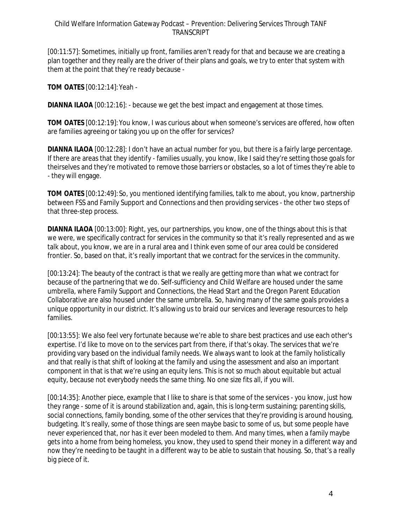## Child Welfare Information Gateway Podcast – Prevention: Delivering Services Through TANF **TRANSCRIPT**

[00:11:57]: Sometimes, initially up front, families aren't ready for that and because we are creating a plan together and they really are the driver of their plans and goals, we try to enter that system with them at the point that they're ready because -

**TOM OATES** [00:12:14]:Yeah -

**DIANNA ILAOA** [00:12:16]: - because we get the best impact and engagement at those times.

**TOM OATES** [00:12:19]:You know, I was curious about when someone's services are offered, how often are families agreeing or taking you up on the offer for services?

**DIANNA ILAOA** [00:12:28]: I don't have an actual number for you, but there is a fairly large percentage. If there are areas that they identify - families usually, you know, like I said they're setting those goals for theirselves and they're motivated to remove those barriers or obstacles, so a lot of times they're able to - they will engage.

**TOM OATES** [00:12:49]:So, you mentioned identifying families, talk to me about, you know, partnership between FSS and Family Support and Connections and then providing services - the other two steps of that three-step process.

**DIANNA ILAOA** [00:13:00]: Right, yes, our partnerships, you know, one of the things about this is that we were, we specifically contract for services in the community so that it's really represented and as we talk about, you know, we are in a rural area and I think even some of our area could be considered frontier. So, based on that, it's really important that we contract for the services in the community.

[00:13:24]: The beauty of the contract is that we really are getting more than what we contract for because of the partnering that we do. Self-sufficiency and Child Welfare are housed under the same umbrella, where Family Support and Connections, the Head Start and the Oregon Parent Education Collaborative are also housed under the same umbrella. So, having many of the same goals provides a unique opportunity in our district. It's allowing us to braid our services and leverage resources to help families.

[00:13:55]: We also feel very fortunate because we're able to share best practices and use each other's expertise. I'd like to move on to the services part from there, if that's okay. The services that we're providing vary based on the individual family needs. We always want to look at the family holistically and that really is that shift of looking at the family and using the assessment and also an important component in that is that we're using an equity lens. This is not so much about equitable but actual equity, because not everybody needs the same thing. No one size fits all, if you will.

[00:14:35]: Another piece, example that I like to share is that some of the services - you know, just how they range - some of it is around stabilization and, again, this is long-term sustaining; parenting skills, social connections, family bonding, some of the other services that they're providing is around housing, budgeting. It's really, some of those things are seen maybe basic to some of us, but some people have never experienced that, nor has it ever been modeled to them. And many times, when a family maybe gets into a home from being homeless, you know, they used to spend their money in a different way and now they're needing to be taught in a different way to be able to sustain that housing. So, that's a really big piece of it.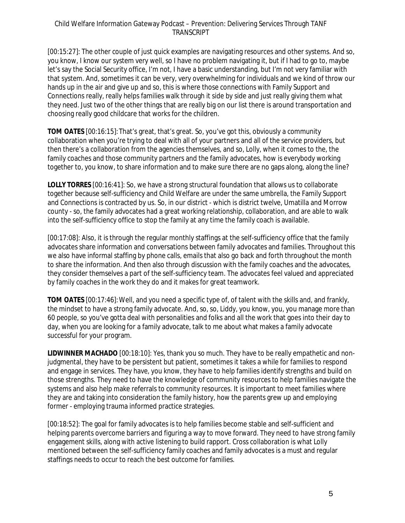[00:15:27]: The other couple of just quick examples are navigating resources and other systems. And so, you know, I know our system very well, so I have no problem navigating it, but if I had to go to, maybe let's say the Social Security office, I'm not, I have a basic understanding, but I'm not very familiar with that system. And, sometimes it can be very, very overwhelming for individuals and we kind of throw our hands up in the air and give up and so, this is where those connections with Family Support and Connections really, really helps families walk through it side by side and just really giving them what they need. Just two of the other things that are really big on our list there is around transportation and choosing really good childcare that works for the children.

**TOM OATES** [00:16:15]:That's great, that's great. So, you've got this, obviously a community collaboration when you're trying to deal with all of your partners and all of the service providers, but then there's a collaboration from the agencies themselves, and so, Lolly, when it comes to the, the family coaches and those community partners and the family advocates, how is everybody working together to, you know, to share information and to make sure there are no gaps along, along the line?

**LOLLY TORRES** [00:16:41]: So, we have a strong structural foundation that allows us to collaborate together because self-sufficiency and Child Welfare are under the same umbrella, the Family Support and Connections is contracted by us. So, in our district - which is district twelve, Umatilla and Morrow county - so, the family advocates had a great working relationship, collaboration, and are able to walk into the self-sufficiency office to stop the family at any time the family coach is available.

[00:17:08]: Also, it is through the regular monthly staffings at the self-sufficiency office that the family advocates share information and conversations between family advocates and families. Throughout this we also have informal staffing by phone calls, emails that also go back and forth throughout the month to share the information. And then also through discussion with the family coaches and the advocates, they consider themselves a part of the self-sufficiency team. The advocates feel valued and appreciated by family coaches in the work they do and it makes for great teamwork.

**TOM OATES** [00:17:46]: Well, and you need a specific type of, of talent with the skills and, and frankly, the mindset to have a strong family advocate. And, so, so, Liddy, you know, you, you manage more than 60 people, so you've gotta deal with personalities and folks and all the work that goes into their day to day, when you are looking for a family advocate, talk to me about what makes a family advocate successful for your program.

**LIDWINNER MACHADO** [00:18:10]: Yes, thank you so much. They have to be really empathetic and nonjudgmental, they have to be persistent but patient, sometimes it takes a while for families to respond and engage in services. They have, you know, they have to help families identify strengths and build on those strengths. They need to have the knowledge of community resources to help families navigate the systems and also help make referrals to community resources. It is important to meet families where they are and taking into consideration the family history, how the parents grew up and employing former - employing trauma informed practice strategies.

[00:18:52]: The goal for family advocates is to help families become stable and self-sufficient and helping parents overcome barriers and figuring a way to move forward. They need to have strong family engagement skills, along with active listening to build rapport. Cross collaboration is what Lolly mentioned between the self-sufficiency family coaches and family advocates is a must and regular staffings needs to occur to reach the best outcome for families.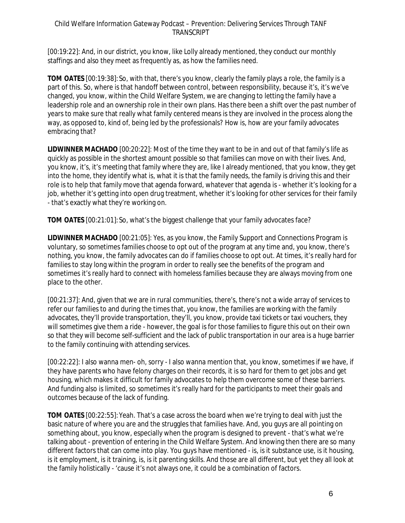## Child Welfare Information Gateway Podcast – Prevention: Delivering Services Through TANF **TRANSCRIPT**

[00:19:22]: And, in our district, you know, like Lolly already mentioned, they conduct our monthly staffings and also they meet as frequently as, as how the families need.

**TOM OATES** [00:19:38]:So, with that, there's you know, clearly the family plays a role, the family is a part of this. So, where is that handoff between control, between responsibility, because it's, it's we've changed, you know, within the Child Welfare System, we are changing to letting the family have a leadership role and an ownership role in their own plans. Has there been a shift over the past number of years to make sure that really what family centered means is they are involved in the process along the way, as opposed to, kind of, being led by the professionals? How is, how are your family advocates embracing that?

**LIDWINNER MACHADO** [00:20:22]: Most of the time they want to be in and out of that family's life as quickly as possible in the shortest amount possible so that families can move on with their lives. And, you know, it's, it's meeting that family where they are, like I already mentioned, that you know, they get into the home, they identify what is, what it is that the family needs, the family is driving this and their role is to help that family move that agenda forward, whatever that agenda is - whether it's looking for a job, whether it's getting into open drug treatment, whether it's looking for other services for their family - that's exactly what they're working on.

**TOM OATES** [00:21:01]:So, what's the biggest challenge that your family advocates face?

**LIDWINNER MACHADO** [00:21:05]: Yes, as you know, the Family Support and Connections Program is voluntary, so sometimes families choose to opt out of the program at any time and, you know, there's nothing, you know, the family advocates can do if families choose to opt out. At times, it's really hard for families to stay long within the program in order to really see the benefits of the program and sometimes it's really hard to connect with homeless families because they are always moving from one place to the other.

[00:21:37]: And, given that we are in rural communities, there's, there's not a wide array of services to refer our families to and during the times that, you know, the families are working with the family advocates, they'll provide transportation, they'll, you know, provide taxi tickets or taxi vouchers, they will sometimes give them a ride - however, the goal is for those families to figure this out on their own so that they will become self-sufficient and the lack of public transportation in our area is a huge barrier to the family continuing with attending services.

[00:22:22]: I also wanna men- oh, sorry - I also wanna mention that, you know, sometimes if we have, if they have parents who have felony charges on their records, it is so hard for them to get jobs and get housing, which makes it difficult for family advocates to help them overcome some of these barriers. And funding also is limited, so sometimes it's really hard for the participants to meet their goals and outcomes because of the lack of funding.

**TOM OATES** [00:22:55]:Yeah. That's a case across the board when we're trying to deal with just the basic nature of where you are and the struggles that families have. And, you guys are all pointing on something about, you know, especially when the program is designed to prevent - that's what we're talking about - prevention of entering in the Child Welfare System. And knowing then there are so many different factors that can come into play. You guys have mentioned - is, is it substance use, is it housing, is it employment, is it training, is, is it parenting skills. And those are all different, but yet they all look at the family holistically - 'cause it's not always one, it could be a combination of factors.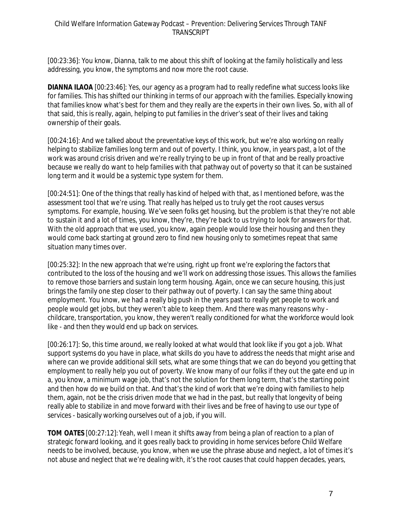[00:23:36]: You know, Dianna, talk to me about this shift of looking at the family holistically and less addressing, you know, the symptoms and now more the root cause.

**DIANNA ILAOA** [00:23:46]: Yes, our agency as a program had to really redefine what success looks like for families. This has shifted our thinking in terms of our approach with the families. Especially knowing that families know what's best for them and they really are the experts in their own lives. So, with all of that said, this is really, again, helping to put families in the driver's seat of their lives and taking ownership of their goals.

[00:24:16]: And we talked about the preventative keys of this work, but we're also working on really helping to stabilize families long term and out of poverty. I think, you know, in years past, a lot of the work was around crisis driven and we're really trying to be up in front of that and be really proactive because we really do want to help families with that pathway out of poverty so that it can be sustained long term and it would be a systemic type system for them.

[00:24:51]: One of the things that really has kind of helped with that, as I mentioned before, was the assessment tool that we're using. That really has helped us to truly get the root causes versus symptoms. For example, housing. We've seen folks get housing, but the problem is that they're not able to sustain it and a lot of times, you know, they're, they're back to us trying to look for answers for that. With the old approach that we used, you know, again people would lose their housing and then they would come back starting at ground zero to find new housing only to sometimes repeat that same situation many times over.

[00:25:32]: In the new approach that we're using, right up front we're exploring the factors that contributed to the loss of the housing and we'll work on addressing those issues. This allows the families to remove those barriers and sustain long term housing. Again, once we can secure housing, this just brings the family one step closer to their pathway out of poverty. I can say the same thing about employment. You know, we had a really big push in the years past to really get people to work and people would get jobs, but they weren't able to keep them. And there was many reasons why childcare, transportation, you know, they weren't really conditioned for what the workforce would look like - and then they would end up back on services.

[00:26:17]: So, this time around, we really looked at what would that look like if you got a job. What support systems do you have in place, what skills do you have to address the needs that might arise and where can we provide additional skill sets, what are some things that we can do beyond you getting that employment to really help you out of poverty. We know many of our folks if they out the gate end up in a, you know, a minimum wage job, that's not the solution for them long term, that's the starting point and then how do we build on that. And that's the kind of work that we're doing with families to help them, again, not be the crisis driven mode that we had in the past, but really that longevity of being really able to stabilize in and move forward with their lives and be free of having to use our type of services - basically working ourselves out of a job, if you will.

**TOM OATES** [00:27:12]:Yeah, well I mean it shifts away from being a plan of reaction to a plan of strategic forward looking, and it goes really back to providing in home services before Child Welfare needs to be involved, because, you know, when we use the phrase abuse and neglect, a lot of times it's not abuse and neglect that we're dealing with, it's the root causes that could happen decades, years,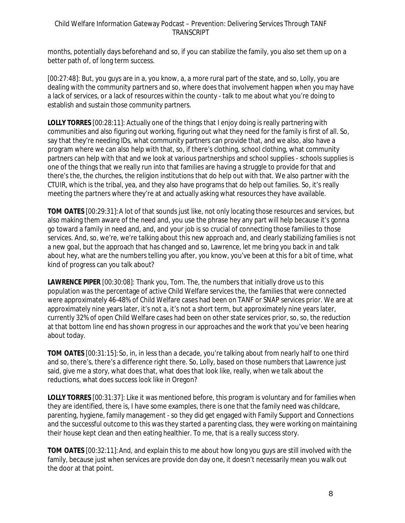## Child Welfare Information Gateway Podcast – Prevention: Delivering Services Through TANF TRANSCRIPT

months, potentially days beforehand and so, if you can stabilize the family, you also set them up on a better path of, of long term success.

[00:27:48]: But, you guys are in a, you know, a, a more rural part of the state, and so, Lolly, you are dealing with the community partners and so, where does that involvement happen when you may have a lack of services, or a lack of resources within the county - talk to me about what you're doing to establish and sustain those community partners.

**LOLLY TORRES** [00:28:11]: Actually one of the things that I enjoy doing is really partnering with communities and also figuring out working, figuring out what they need for the family is first of all. So, say that they're needing IDs, what community partners can provide that, and we also, also have a program where we can also help with that, so, if there's clothing, school clothing, what community partners can help with that and we look at various partnerships and school supplies - schools supplies is one of the things that we really run into that families are having a struggle to provide for that and there's the, the churches, the religion institutions that do help out with that. We also partner with the CTUIR, which is the tribal, yea, and they also have programs that do help out families. So, it's really meeting the partners where they're at and actually asking what resources they have available.

**TOM OATES** [00:29:31]:A lot of that sounds just like, not only locating those resources and services, but also making them aware of the need and, you use the phrase hey any part will help because it's gonna go toward a family in need and, and, and your job is so crucial of connecting those families to those services. And, so, we're, we're talking about this new approach and, and clearly stabilizing families is not a new goal, but the approach that has changed and so, Lawrence, let me bring you back in and talk about hey, what are the numbers telling you after, you know, you've been at this for a bit of time, what kind of progress can you talk about?

**LAWRENCE PIPER** [00:30:08]: Thank you, Tom. The, the numbers that initially drove us to this population was the percentage of active Child Welfare services the, the families that were connected were approximately 46-48% of Child Welfare cases had been on TANF or SNAP services prior. We are at approximately nine years later, it's not a, it's not a short term, but approximately nine years later, currently 32% of open Child Welfare cases had been on other state services prior, so, so, the reduction at that bottom line end has shown progress in our approaches and the work that you've been hearing about today.

**TOM OATES** [00:31:15]:So, in, in less than a decade, you're talking about from nearly half to one third and so, there's, there's a difference right there. So, Lolly, based on those numbers that Lawrence just said, give me a story, what does that, what does that look like, really, when we talk about the reductions, what does success look like in Oregon?

**LOLLY TORRES** [00:31:37]: Like it was mentioned before, this program is voluntary and for families when they are identified, there is, I have some examples, there is one that the family need was childcare, parenting, hygiene, family management - so they did get engaged with Family Support and Connections and the successful outcome to this was they started a parenting class, they were working on maintaining their house kept clean and then eating healthier. To me, that is a really success story.

**TOM OATES** [00:32:11]:And, and explain this to me about how long you guys are still involved with the family, because just when services are provide don day one, it doesn't necessarily mean you walk out the door at that point.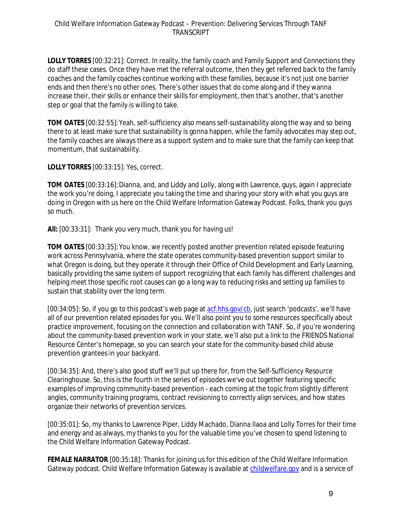**LOLLY TORRES** [00:32:21]: Correct. In reality, the family coach and Family Support and Connections they do staff these cases. Once they have met the referral outcome, then they get referred back to the family coaches and the family coaches continue working with these families, because it's not just one barrier ends and then there's no other ones. There's other issues that do come along and if they wanna increase their, their skills or enhance their skills for employment, then that's another, that's another step or goal that the family is willing to take.

**TOM OATES** [00:32:55]:Yeah, self-sufficiency also means self-sustainability along the way and so being there to at least make sure that sustainability is gonna happen, while the family advocates may step out, the family coaches are always there as a support system and to make sure that the family can keep that momentum, that sustainability.

**LOLLY TORRES** [00:33:15]: Yes, correct.

**TOM OATES** [00:33:16]:Dianna, and, and Liddy and Lolly, along with Lawrence, guys, again I appreciate the work you're doing, I appreciate you taking the time and sharing your story with what you guys are doing in Oregon with us here on the Child Welfare Information Gateway Podcast. Folks, thank you guys so much.

**All:** [00:33:31]: Thank you very much, thank you for having us!

**TOM OATES** [00:33:35]:You know, we recently posted another prevention related episode featuring work across Pennsylvania, where the state operates community-based prevention support similar to what Oregon is doing, but they operate it through their Office of Child Development and Early Learning, basically providing the same system of support recognizing that each family has different challenges and helping meet those specific root causes can go a long way to reducing risks and setting up families to sustain that stability over the long term.

[00:34:05]: So, if you go to this podcast's web page at [acf.hhs.gov/cb,](https://www.acf.hhs.gov/cb) just search 'podcasts', we'll have all of our prevention related episodes for you. We'll also point you to some resources specifically about practice improvement, focusing on the connection and collaboration with TANF. So, if you're wondering about the community-based prevention work in your state, we'll also put a link to the FRIENDS National Resource Center's homepage, so you can search your state for the community-based child abuse prevention grantees in your backyard.

[00:34:35]: And, there's also good stuff we'll put up there for, from the Self-Sufficiency Resource Clearinghouse. So, this is the fourth in the series of episodes we've out together featuring specific examples of improving community-based prevention - each coming at the topic from slightly different angles, community training programs, contract revisioning to correctly align services, and how states organize their networks of prevention services.

[00:35:01]: So, my thanks to Lawrence Piper, Liddy Machado, Dianna Ilaoa and Lolly Torres for their time and energy and as always, my thanks to you for the valuable time you've chosen to spend listening to the Child Welfare Information Gateway Podcast.

**FEMALE NARRATOR** [00:35:18]: Thanks for joining us for this edition of the Child Welfare Information Gateway podcast. Child Welfare Information Gateway is available at [childwelfare.gov](https://www.childwelfare.gov/) and is a service of